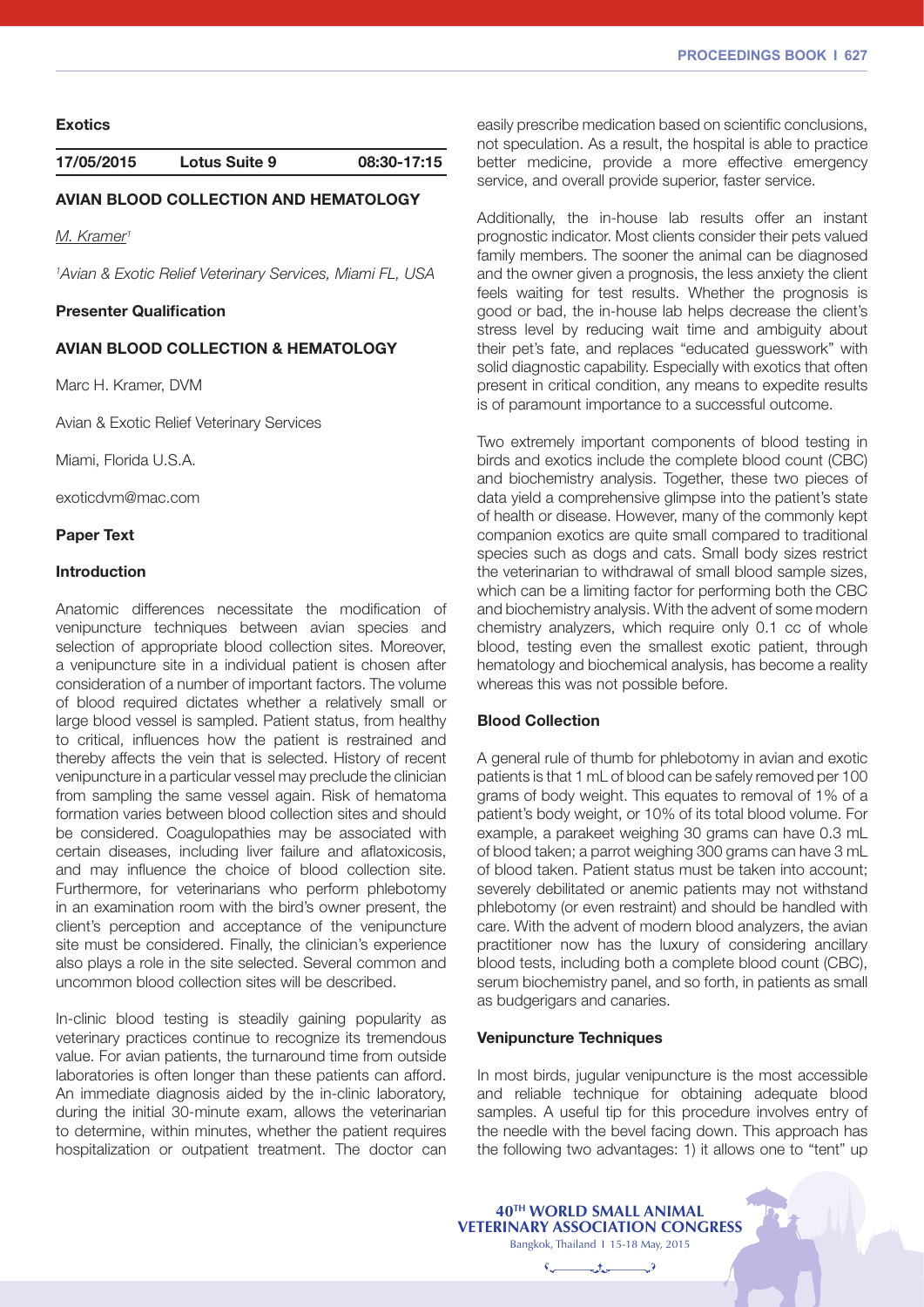**Exotics**

**17/05/2015 Lotus Suite 9 08:30-17:15**

# AVIAN BLOOD COLLECTION AND HEMATOLOGY

*M. Kramer1*

*1 Avian & Exotic Relief Veterinary Services, Miami FL, USA*

### Presenter Qualification

## AVIAN BLOOD COLLECTION & HEMATOLOGY

Marc H. Kramer, DVM

Avian & Exotic Relief Veterinary Services

Miami, Florida U.S.A.

exoticdvm@mac.com

### Paper Text</b>

# Introduction

Anatomic differences necessitate the modification of venipuncture techniques between avian species and selection of appropriate blood collection sites. Moreover, a venipuncture site in a individual patient is chosen after consideration of a number of important factors. The volume of blood required dictates whether a relatively small or large blood vessel is sampled. Patient status, from healthy to critical, influences how the patient is restrained and thereby affects the vein that is selected. History of recent venipuncture in a particular vessel may preclude the clinician from sampling the same vessel again. Risk of hematoma formation varies between blood collection sites and should be considered. Coagulopathies may be associated with certain diseases, including liver failure and aflatoxicosis, and may influence the choice of blood collection site. Furthermore, for veterinarians who perform phlebotomy in an examination room with the bird's owner present, the client's perception and acceptance of the venipuncture site must be considered. Finally, the clinician's experience also plays a role in the site selected. Several common and uncommon blood collection sites will be described.

In-clinic blood testing is steadily gaining popularity as veterinary practices continue to recognize its tremendous value. For avian patients, the turnaround time from outside laboratories is often longer than these patients can afford. An immediate diagnosis aided by the in-clinic laboratory, during the initial 30-minute exam, allows the veterinarian to determine, within minutes, whether the patient requires hospitalization or outpatient treatment. The doctor can

easily prescribe medication based on scientific conclusions, not speculation. As a result, the hospital is able to practice better medicine, provide a more effective emergency service, and overall provide superior, faster service.

Additionally, the in-house lab results offer an instant prognostic indicator. Most clients consider their pets valued family members. The sooner the animal can be diagnosed and the owner given a prognosis, the less anxiety the client feels waiting for test results. Whether the prognosis is good or bad, the in-house lab helps decrease the client's stress level by reducing wait time and ambiguity about their pet's fate, and replaces "educated guesswork" with solid diagnostic capability. Especially with exotics that often present in critical condition, any means to expedite results is of paramount importance to a successful outcome.

Two extremely important components of blood testing in birds and exotics include the complete blood count (CBC) and biochemistry analysis. Together, these two pieces of data yield a comprehensive glimpse into the patient's state of health or disease. However, many of the commonly kept companion exotics are quite small compared to traditional species such as dogs and cats. Small body sizes restrict the veterinarian to withdrawal of small blood sample sizes, which can be a limiting factor for performing both the CBC and biochemistry analysis. With the advent of some modern chemistry analyzers, which require only 0.1 cc of whole blood, testing even the smallest exotic patient, through hematology and biochemical analysis, has become a reality whereas this was not possible before.

### Blood Collection

A general rule of thumb for phlebotomy in avian and exotic patients is that 1 mL of blood can be safely removed per 100 grams of body weight. This equates to removal of 1% of a patient's body weight, or 10% of its total blood volume. For example, a parakeet weighing 30 grams can have 0.3 mL of blood taken; a parrot weighing 300 grams can have 3 mL of blood taken. Patient status must be taken into account; severely debilitated or anemic patients may not withstand phlebotomy (or even restraint) and should be handled with care. With the advent of modern blood analyzers, the avian practitioner now has the luxury of considering ancillary blood tests, including both a complete blood count (CBC), serum biochemistry panel, and so forth, in patients as small as budgerigars and canaries.

### Venipuncture Techniques

In most birds, jugular venipuncture is the most accessible and reliable technique for obtaining adequate blood samples. A useful tip for this procedure involves entry of the needle with the bevel facing down. This approach has the following two advantages: 1) it allows one to "tent" up

| 40 <sup>TH</sup> WORLD SMALL ANIMAL<br><b>VETERINARY ASSOCIATION CONGRESS</b><br>Bangkok, Thailand 1 15-18 May, 2015 |  |
|----------------------------------------------------------------------------------------------------------------------|--|
| $\overline{\phantom{a}}$ , $\overline{\phantom{a}}$                                                                  |  |
|                                                                                                                      |  |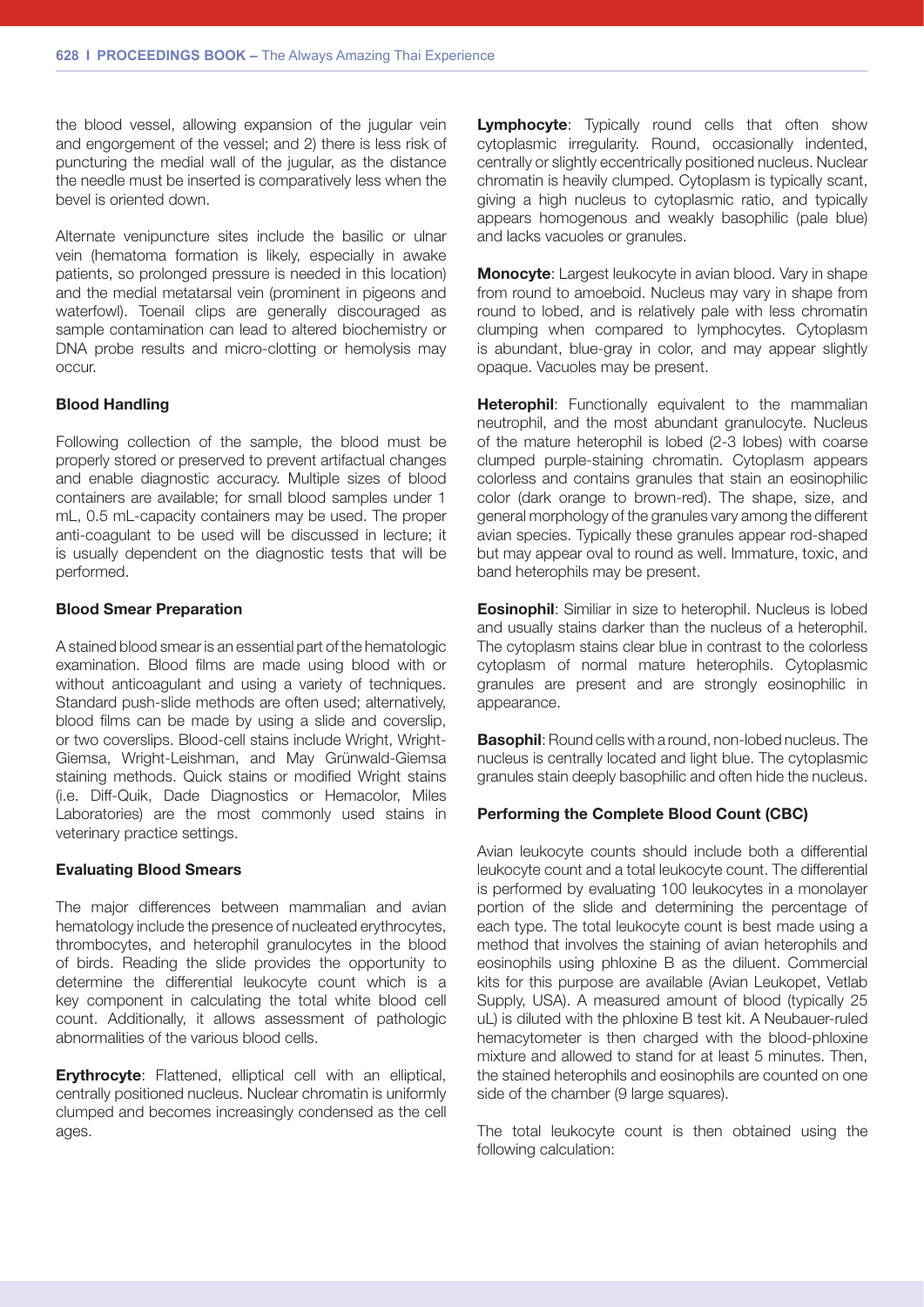the blood vessel, allowing expansion of the jugular vein and engorgement of the vessel; and 2) there is less risk of puncturing the medial wall of the jugular, as the distance the needle must be inserted is comparatively less when the bevel is oriented down.

Alternate venipuncture sites include the basilic or ulnar vein (hematoma formation is likely, especially in awake patients, so prolonged pressure is needed in this location) and the medial metatarsal vein (prominent in pigeons and waterfowl). Toenail clips are generally discouraged as sample contamination can lead to altered biochemistry or DNA probe results and micro-clotting or hemolysis may occur.

### Blood Handling

Following collection of the sample, the blood must be properly stored or preserved to prevent artifactual changes and enable diagnostic accuracy. Multiple sizes of blood containers are available; for small blood samples under 1 mL, 0.5 mL-capacity containers may be used. The proper anti-coagulant to be used will be discussed in lecture; it is usually dependent on the diagnostic tests that will be performed.

#### Blood Smear Preparation

A stained blood smear is an essential part of the hematologic examination. Blood films are made using blood with or without anticoagulant and using a variety of techniques. Standard push-slide methods are often used; alternatively, blood films can be made by using a slide and coverslip, or two coverslips. Blood-cell stains include Wright, Wright-Giemsa, Wright-Leishman, and May Grünwald-Giemsa staining methods. Quick stains or modified Wright stains (i.e. Diff-Quik, Dade Diagnostics or Hemacolor, Miles Laboratories) are the most commonly used stains in veterinary practice settings.

#### Evaluating Blood Smears

The major differences between mammalian and avian hematology include the presence of nucleated erythrocytes, thrombocytes, and heterophil granulocytes in the blood of birds. Reading the slide provides the opportunity to determine the differential leukocyte count which is a key component in calculating the total white blood cell count. Additionally, it allows assessment of pathologic abnormalities of the various blood cells.

Erythrocyte: Flattened, elliptical cell with an elliptical, centrally positioned nucleus. Nuclear chromatin is uniformly clumped and becomes increasingly condensed as the cell ages.

**Lymphocyte:** Typically round cells that often show cytoplasmic irregularity. Round, occasionally indented, centrally or slightly eccentrically positioned nucleus. Nuclear chromatin is heavily clumped. Cytoplasm is typically scant, giving a high nucleus to cytoplasmic ratio, and typically appears homogenous and weakly basophilic (pale blue) and lacks vacuoles or granules.

Monocyte: Largest leukocyte in avian blood. Vary in shape from round to amoeboid. Nucleus may vary in shape from round to lobed, and is relatively pale with less chromatin clumping when compared to lymphocytes. Cytoplasm is abundant, blue-gray in color, and may appear slightly opaque. Vacuoles may be present.

**Heterophil:** Functionally equivalent to the mammalian neutrophil, and the most abundant granulocyte. Nucleus of the mature heterophil is lobed (2-3 lobes) with coarse clumped purple-staining chromatin. Cytoplasm appears colorless and contains granules that stain an eosinophilic color (dark orange to brown-red). The shape, size, and general morphology of the granules vary among the different avian species. Typically these granules appear rod-shaped but may appear oval to round as well. Immature, toxic, and band heterophils may be present.

Eosinophil: Similiar in size to heterophil. Nucleus is lobed and usually stains darker than the nucleus of a heterophil. The cytoplasm stains clear blue in contrast to the colorless cytoplasm of normal mature heterophils. Cytoplasmic granules are present and are strongly eosinophilic in appearance.

Basophil: Round cells with a round, non-lobed nucleus. The nucleus is centrally located and light blue. The cytoplasmic granules stain deeply basophilic and often hide the nucleus.

### Performing the Complete Blood Count (CBC)

Avian leukocyte counts should include both a differential leukocyte count and a total leukocyte count. The differential is performed by evaluating 100 leukocytes in a monolayer portion of the slide and determining the percentage of each type. The total leukocyte count is best made using a method that involves the staining of avian heterophils and eosinophils using phloxine B as the diluent. Commercial kits for this purpose are available (Avian Leukopet, Vetlab Supply, USA). A measured amount of blood (typically 25 uL) is diluted with the phloxine B test kit. A Neubauer-ruled hemacytometer is then charged with the blood-phloxine mixture and allowed to stand for at least 5 minutes. Then, the stained heterophils and eosinophils are counted on one side of the chamber (9 large squares).

The total leukocyte count is then obtained using the following calculation: